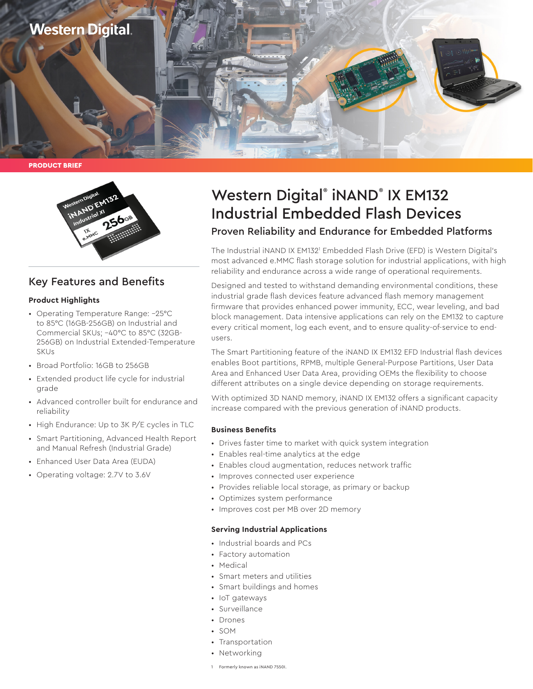



# Key Features and Benefits

#### **Product Highlights**

- Operating Temperature Range: –25°C to 85°C (16GB-256GB) on Industrial and Commercial SKUs; –40°C to 85°C (32GB-256GB) on Industrial Extended-Temperature SKUs
- Broad Portfolio: 16GB to 256GB
- Extended product life cycle for industrial grade
- Advanced controller built for endurance and reliability
- High Endurance: Up to 3K P/E cycles in TLC
- Smart Partitioning, Advanced Health Report and Manual Refresh (Industrial Grade)
- Enhanced User Data Area (EUDA)
- Operating voltage: 2.7V to 3.6V

# Western Digital® iNAND® IX EM132 Industrial Embedded Flash Devices

## Proven Reliability and Endurance for Embedded Platforms

The Industrial iNAND IX EM132<sup>1</sup> Embedded Flash Drive (EFD) is Western Digital's most advanced e.MMC flash storage solution for industrial applications, with high reliability and endurance across a wide range of operational requirements.

Designed and tested to withstand demanding environmental conditions, these industrial grade flash devices feature advanced flash memory management firmware that provides enhanced power immunity, ECC, wear leveling, and bad block management. Data intensive applications can rely on the EM132 to capture every critical moment, log each event, and to ensure quality-of-service to endusers.

The Smart Partitioning feature of the iNAND IX EM132 EFD Industrial flash devices enables Boot partitions, RPMB, multiple General-Purpose Partitions, User Data Area and Enhanced User Data Area, providing OEMs the flexibility to choose different attributes on a single device depending on storage requirements.

With optimized 3D NAND memory, iNAND IX EM132 offers a significant capacity increase compared with the previous generation of iNAND products.

#### **Business Benefits**

- Drives faster time to market with quick system integration
- Enables real-time analytics at the edge
- Enables cloud augmentation, reduces network traffic
- Improves connected user experience
- Provides reliable local storage, as primary or backup
- Optimizes system performance
- Improves cost per MB over 2D memory

#### **Serving Industrial Applications**

- Industrial boards and PCs
- Factory automation
- Medical
- Smart meters and utilities
- Smart buildings and homes
- IoT gateways
- Surveillance
- Drones
- SOM
- Transportation
- Networking
- 1 Formerly known as iNAND 7550I.